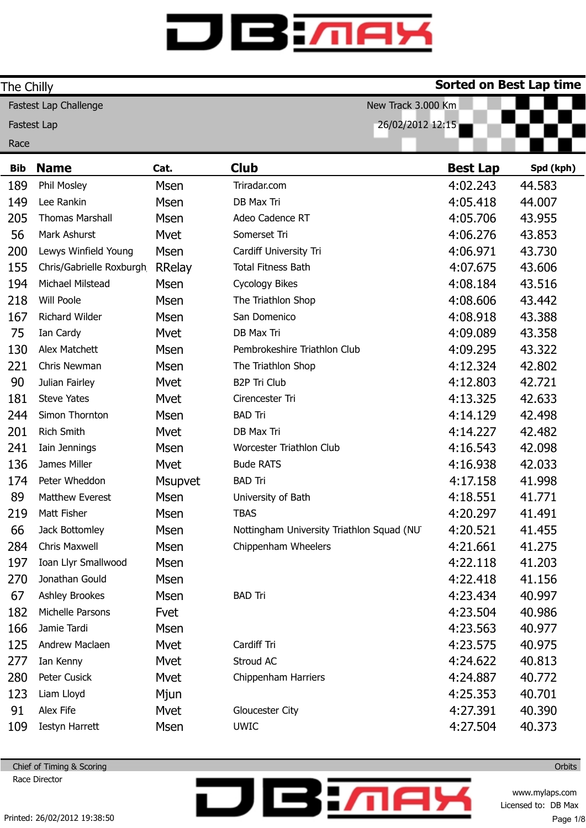| The Chilly                                  |                          |                |                                           | <b>Sorted on Best Lap time</b> |           |
|---------------------------------------------|--------------------------|----------------|-------------------------------------------|--------------------------------|-----------|
| New Track 3.000 Km<br>Fastest Lap Challenge |                          |                |                                           |                                |           |
| 26/02/2012 12:15<br>Fastest Lap             |                          |                |                                           |                                |           |
| Race                                        |                          |                |                                           |                                |           |
| <b>Bib</b>                                  | <b>Name</b>              | Cat.           | <b>Club</b>                               | <b>Best Lap</b>                | Spd (kph) |
| 189                                         | Phil Mosley              | <b>Msen</b>    | Triradar.com                              | 4:02.243                       | 44.583    |
| 149                                         | Lee Rankin               | Msen           | DB Max Tri                                | 4:05.418                       | 44.007    |
| 205                                         | <b>Thomas Marshall</b>   | Msen           | Adeo Cadence RT                           | 4:05.706                       | 43.955    |
| 56                                          | Mark Ashurst             | Mvet           | Somerset Tri                              | 4:06.276                       | 43.853    |
| 200                                         | Lewys Winfield Young     | <b>Msen</b>    | Cardiff University Tri                    | 4:06.971                       | 43.730    |
| 155                                         | Chris/Gabrielle Roxburgh | <b>RRelay</b>  | <b>Total Fitness Bath</b>                 | 4:07.675                       | 43.606    |
| 194                                         | Michael Milstead         | Msen           | <b>Cycology Bikes</b>                     | 4:08.184                       | 43.516    |
| 218                                         | Will Poole               | <b>Msen</b>    | The Triathlon Shop                        | 4:08.606                       | 43.442    |
| 167                                         | Richard Wilder           | <b>Msen</b>    | San Domenico                              | 4:08.918                       | 43.388    |
| 75                                          | Ian Cardy                | Mvet           | DB Max Tri                                | 4:09.089                       | 43.358    |
| 130                                         | Alex Matchett            | <b>Msen</b>    | Pembrokeshire Triathlon Club              | 4:09.295                       | 43.322    |
| 221                                         | Chris Newman             | <b>Msen</b>    | The Triathlon Shop                        | 4:12.324                       | 42.802    |
| 90                                          | Julian Fairley           | Mvet           | <b>B2P Tri Club</b>                       | 4:12.803                       | 42.721    |
| 181                                         | <b>Steve Yates</b>       | Mvet           | Cirencester Tri                           | 4:13.325                       | 42.633    |
| 244                                         | Simon Thornton           | <b>Msen</b>    | <b>BAD Tri</b>                            | 4:14.129                       | 42.498    |
| 201                                         | <b>Rich Smith</b>        | Mvet           | DB Max Tri                                | 4:14.227                       | 42.482    |
| 241                                         | Iain Jennings            | <b>Msen</b>    | Worcester Triathlon Club                  | 4:16.543                       | 42.098    |
| 136                                         | James Miller             | Mvet           | <b>Bude RATS</b>                          | 4:16.938                       | 42.033    |
| 174                                         | Peter Wheddon            | <b>Msupvet</b> | <b>BAD Tri</b>                            | 4:17.158                       | 41.998    |
| 89                                          | Matthew Everest          | <b>Msen</b>    | University of Bath                        | 4:18.551                       | 41.771    |
| 219                                         | Matt Fisher              | Msen           | <b>TBAS</b>                               | 4:20.297                       | 41.491    |
| 66                                          | Jack Bottomley           | <b>Msen</b>    | Nottingham University Triathlon Squad (NU | 4:20.521                       | 41.455    |
| 284                                         | <b>Chris Maxwell</b>     | <b>Msen</b>    | Chippenham Wheelers                       | 4:21.661                       | 41.275    |
| 197                                         | Ioan Llyr Smallwood      | Msen           |                                           | 4:22.118                       | 41.203    |
| 270                                         | Jonathan Gould           | Msen           |                                           | 4:22.418                       | 41.156    |
| 67                                          | <b>Ashley Brookes</b>    | Msen           | <b>BAD Tri</b>                            | 4:23.434                       | 40.997    |
| 182                                         | Michelle Parsons         | Fvet           |                                           | 4:23.504                       | 40.986    |
| 166                                         | Jamie Tardi              | Msen           |                                           | 4:23.563                       | 40.977    |
| 125                                         | Andrew Maclaen           | Mvet           | Cardiff Tri                               | 4:23.575                       | 40.975    |
| 277                                         | Ian Kenny                | Mvet           | Stroud AC                                 | 4:24.622                       | 40.813    |
| 280                                         | Peter Cusick             | Mvet           | Chippenham Harriers                       | 4:24.887                       | 40.772    |
| 123                                         | Liam Lloyd               | Mjun           |                                           | 4:25.353                       | 40.701    |
| 91                                          | Alex Fife                | <b>Mvet</b>    | Gloucester City                           | 4:27.391                       | 40.390    |
| 109                                         | <b>Iestyn Harrett</b>    | <b>Msen</b>    | <b>UWIC</b>                               | 4:27.504                       | 40.373    |

**DBM** 

Chief of Timing & Scoring Race Director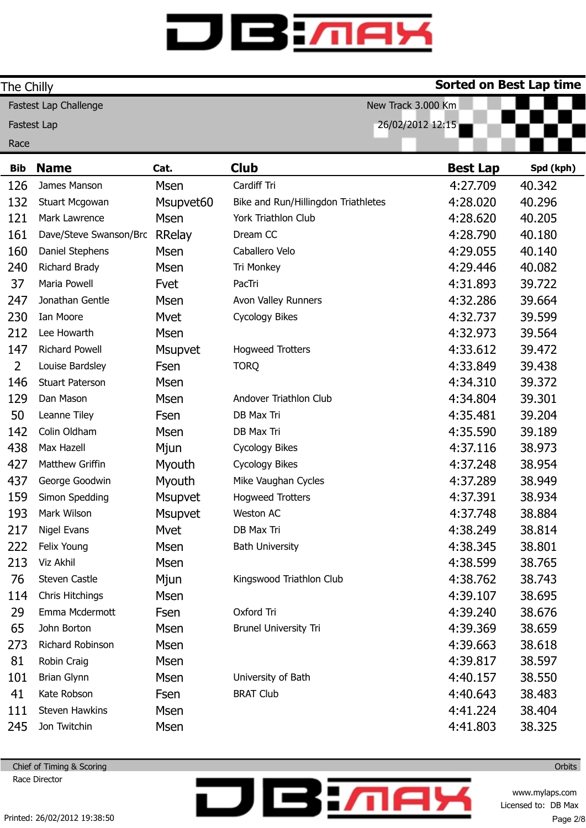| The Chilly                                  |                                 |                |                                     | <b>Sorted on Best Lap time</b> |           |
|---------------------------------------------|---------------------------------|----------------|-------------------------------------|--------------------------------|-----------|
| Fastest Lap Challenge<br>New Track 3.000 Km |                                 |                |                                     |                                |           |
|                                             | 26/02/2012 12:15<br>Fastest Lap |                |                                     |                                |           |
| Race                                        |                                 |                |                                     |                                |           |
| <b>Bib</b>                                  | <b>Name</b>                     | Cat.           | <b>Club</b>                         | <b>Best Lap</b>                | Spd (kph) |
| 126                                         | James Manson                    | <b>Msen</b>    | Cardiff Tri                         | 4:27.709                       | 40.342    |
| 132                                         | Stuart Mcgowan                  | Msupvet60      | Bike and Run/Hillingdon Triathletes | 4:28.020                       | 40.296    |
| 121                                         | Mark Lawrence                   | <b>Msen</b>    | York Triathlon Club                 | 4:28.620                       | 40.205    |
| 161                                         | Dave/Steve Swanson/Bro          | <b>RRelay</b>  | Dream CC                            | 4:28.790                       | 40.180    |
| 160                                         | Daniel Stephens                 | Msen           | Caballero Velo                      | 4:29.055                       | 40.140    |
| 240                                         | <b>Richard Brady</b>            | Msen           | Tri Monkey                          | 4:29.446                       | 40.082    |
| 37                                          | Maria Powell                    | Fvet           | PacTri                              | 4:31.893                       | 39.722    |
| 247                                         | Jonathan Gentle                 | Msen           | Avon Valley Runners                 | 4:32.286                       | 39.664    |
| 230                                         | Ian Moore                       | Mvet           | <b>Cycology Bikes</b>               | 4:32.737                       | 39.599    |
| 212                                         | Lee Howarth                     | <b>Msen</b>    |                                     | 4:32.973                       | 39.564    |
| 147                                         | <b>Richard Powell</b>           | <b>Msupvet</b> | <b>Hogweed Trotters</b>             | 4:33.612                       | 39.472    |
| $\overline{2}$                              | Louise Bardsley                 | Fsen           | <b>TORQ</b>                         | 4:33.849                       | 39.438    |
| 146                                         | <b>Stuart Paterson</b>          | Msen           |                                     | 4:34.310                       | 39.372    |
| 129                                         | Dan Mason                       | Msen           | Andover Triathlon Club              | 4:34.804                       | 39.301    |
| 50                                          | Leanne Tiley                    | Fsen           | DB Max Tri                          | 4:35.481                       | 39.204    |
| 142                                         | Colin Oldham                    | Msen           | DB Max Tri                          | 4:35.590                       | 39.189    |
| 438                                         | Max Hazell                      | Mjun           | Cycology Bikes                      | 4:37.116                       | 38.973    |
| 427                                         | Matthew Griffin                 | Myouth         | Cycology Bikes                      | 4:37.248                       | 38.954    |
| 437                                         | George Goodwin                  | Myouth         | Mike Vaughan Cycles                 | 4:37.289                       | 38.949    |
| 159                                         | Simon Spedding                  | <b>Msupvet</b> | <b>Hogweed Trotters</b>             | 4:37.391                       | 38.934    |
| 193                                         | Mark Wilson                     | <b>Msupvet</b> | Weston AC                           | 4:37.748                       | 38.884    |
| 217                                         | Nigel Evans                     | Mvet           | DB Max Tri                          | 4:38.249                       | 38.814    |
| 222                                         | Felix Young                     | Msen           | <b>Bath University</b>              | 4:38.345                       | 38.801    |
| 213                                         | Viz Akhil                       | Msen           |                                     | 4:38.599                       | 38.765    |
| 76                                          | Steven Castle                   | Mjun           | Kingswood Triathlon Club            | 4:38.762                       | 38.743    |
| 114                                         | Chris Hitchings                 | Msen           |                                     | 4:39.107                       | 38.695    |
| 29                                          | Emma Mcdermott                  | Fsen           | Oxford Tri                          | 4:39.240                       | 38.676    |
| 65                                          | John Borton                     | Msen           | <b>Brunel University Tri</b>        | 4:39.369                       | 38.659    |
| 273                                         | Richard Robinson                | <b>Msen</b>    |                                     | 4:39.663                       | 38.618    |
| 81                                          | Robin Craig                     | Msen           |                                     | 4:39.817                       | 38.597    |
| 101                                         | <b>Brian Glynn</b>              | Msen           | University of Bath                  | 4:40.157                       | 38.550    |
| 41                                          | Kate Robson                     | Fsen           | <b>BRAT Club</b>                    | 4:40.643                       | 38.483    |
| 111                                         | Steven Hawkins                  | Msen           |                                     | 4:41.224                       | 38.404    |
| 245                                         | Jon Twitchin                    | Msen           |                                     | 4:41.803                       | 38.325    |

**DBM** 

Chief of Timing & Scoring Race Director

> www.mylaps.com Licensed to: DB Max Page 2/8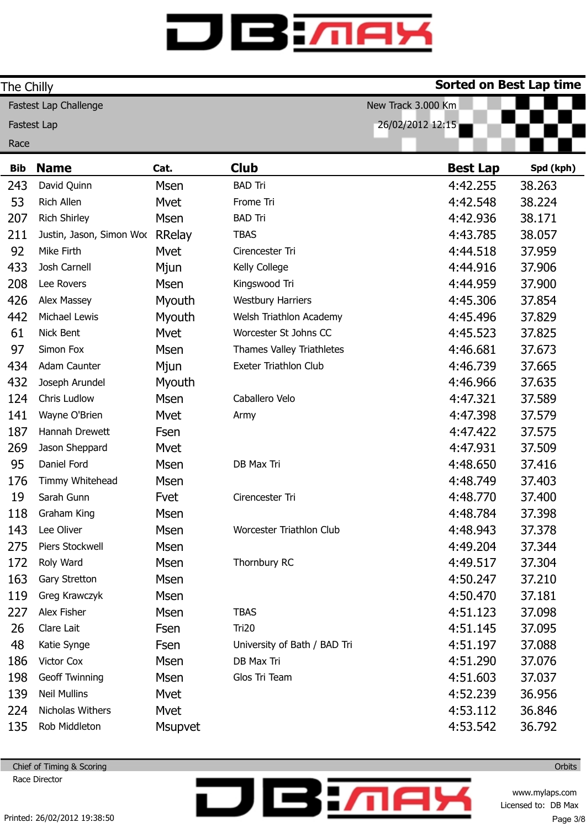| The Chilly |                          |                |                              | <b>Sorted on Best Lap time</b> |           |
|------------|--------------------------|----------------|------------------------------|--------------------------------|-----------|
|            | Fastest Lap Challenge    |                | New Track 3.000 Km           |                                |           |
|            | <b>Fastest Lap</b>       |                | 26/02/2012 12:15             |                                |           |
| Race       |                          |                |                              |                                |           |
| <b>Bib</b> | <b>Name</b>              | Cat.           | <b>Club</b>                  | <b>Best Lap</b>                | Spd (kph) |
| 243        | David Quinn              | Msen           | <b>BAD Tri</b>               | 4:42.255                       | 38.263    |
| 53         | Rich Allen               | Mvet           | Frome Tri                    | 4:42.548                       | 38.224    |
| 207        | <b>Rich Shirley</b>      | Msen           | <b>BAD Tri</b>               | 4:42.936                       | 38.171    |
| 211        | Justin, Jason, Simon Woc | RRelay         | <b>TBAS</b>                  | 4:43.785                       | 38.057    |
| 92         | Mike Firth               | Mvet           | Cirencester Tri              | 4:44.518                       | 37.959    |
| 433        | Josh Carnell             | Mjun           | Kelly College                | 4:44.916                       | 37.906    |
| 208        | Lee Rovers               | <b>Msen</b>    | Kingswood Tri                | 4:44.959                       | 37.900    |
| 426        | Alex Massey              | Myouth         | <b>Westbury Harriers</b>     | 4:45.306                       | 37.854    |
| 442        | Michael Lewis            | Myouth         | Welsh Triathlon Academy      | 4:45.496                       | 37.829    |
| 61         | Nick Bent                | Mvet           | Worcester St Johns CC        | 4:45.523                       | 37.825    |
| 97         | Simon Fox                | <b>Msen</b>    | Thames Valley Triathletes    | 4:46.681                       | 37.673    |
| 434        | Adam Caunter             | Mjun           | Exeter Triathlon Club        | 4:46.739                       | 37.665    |
| 432        | Joseph Arundel           | Myouth         |                              | 4:46.966                       | 37.635    |
| 124        | Chris Ludlow             | <b>Msen</b>    | Caballero Velo               | 4:47.321                       | 37.589    |
| 141        | Wayne O'Brien            | Mvet           | Army                         | 4:47.398                       | 37.579    |
| 187        | Hannah Drewett           | Fsen           |                              | 4:47.422                       | 37.575    |
| 269        | Jason Sheppard           | Mvet           |                              | 4:47.931                       | 37.509    |
| 95         | Daniel Ford              | Msen           | DB Max Tri                   | 4:48.650                       | 37.416    |
| 176        | Timmy Whitehead          | Msen           |                              | 4:48.749                       | 37.403    |
| 19         | Sarah Gunn               | Fvet           | Cirencester Tri              | 4:48.770                       | 37.400    |
| 118        | Graham King              | Msen           |                              | 4:48.784                       | 37.398    |
| 143        | Lee Oliver               | Msen           | Worcester Triathlon Club     | 4:48.943                       | 37.378    |
| 275        | Piers Stockwell          | Msen           |                              | 4:49.204                       | 37.344    |
| 172        | Roly Ward                | Msen           | Thornbury RC                 | 4:49.517                       | 37.304    |
| 163        | Gary Stretton            | Msen           |                              | 4:50.247                       | 37.210    |
| 119        | Greg Krawczyk            | Msen           |                              | 4:50.470                       | 37.181    |
| 227        | Alex Fisher              | <b>Msen</b>    | <b>TBAS</b>                  | 4:51.123                       | 37.098    |
| 26         | Clare Lait               | Fsen           | Tri20                        | 4:51.145                       | 37.095    |
| 48         | Katie Synge              | Fsen           | University of Bath / BAD Tri | 4:51.197                       | 37.088    |
| 186        | Victor Cox               | Msen           | DB Max Tri                   | 4:51.290                       | 37.076    |
| 198        | Geoff Twinning           | Msen           | Glos Tri Team                | 4:51.603                       | 37.037    |
| 139        | <b>Neil Mullins</b>      | Mvet           |                              | 4:52.239                       | 36.956    |
| 224        | Nicholas Withers         | Mvet           |                              | 4:53.112                       | 36.846    |
| 135        | Rob Middleton            | <b>Msupvet</b> |                              | 4:53.542                       | 36.792    |

**DBM** 

Chief of Timing & Scoring Race Director

**Orbits** 

www.mylaps.com Licensed to: DB Max Page 3/8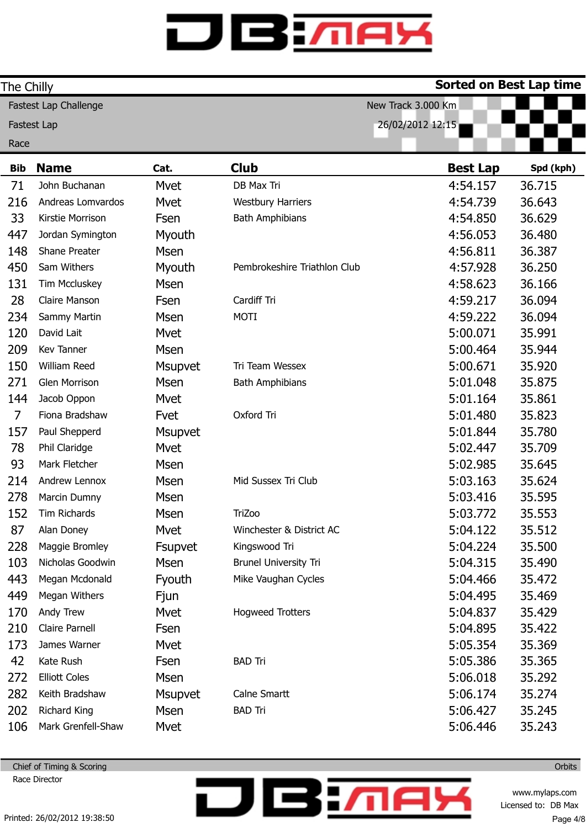| The Chilly                             |                       |                |                              | <b>Sorted on Best Lap time</b> |           |
|----------------------------------------|-----------------------|----------------|------------------------------|--------------------------------|-----------|
|                                        | Fastest Lap Challenge |                | New Track 3.000 Km           |                                |           |
| 26/02/2012 12:15<br><b>Fastest Lap</b> |                       |                |                              |                                |           |
| Race                                   |                       |                |                              |                                |           |
| <b>Bib</b>                             | <b>Name</b>           | Cat.           | <b>Club</b>                  | <b>Best Lap</b>                | Spd (kph) |
| 71                                     | John Buchanan         | Mvet           | DB Max Tri                   | 4:54.157                       | 36.715    |
| 216                                    | Andreas Lomvardos     | Mvet           | <b>Westbury Harriers</b>     | 4:54.739                       | 36.643    |
| 33                                     | Kirstie Morrison      | Fsen           | <b>Bath Amphibians</b>       | 4:54.850                       | 36.629    |
| 447                                    | Jordan Symington      | Myouth         |                              | 4:56.053                       | 36.480    |
| 148                                    | <b>Shane Preater</b>  | Msen           |                              | 4:56.811                       | 36.387    |
| 450                                    | Sam Withers           | Myouth         | Pembrokeshire Triathlon Club | 4:57.928                       | 36.250    |
| 131                                    | Tim Mccluskey         | Msen           |                              | 4:58.623                       | 36.166    |
| 28                                     | <b>Claire Manson</b>  | Fsen           | Cardiff Tri                  | 4:59.217                       | 36.094    |
| 234                                    | Sammy Martin          | Msen           | <b>MOTI</b>                  | 4:59.222                       | 36.094    |
| 120                                    | David Lait            | Mvet           |                              | 5:00.071                       | 35.991    |
| 209                                    | <b>Kev Tanner</b>     | Msen           |                              | 5:00.464                       | 35.944    |
| 150                                    | William Reed          | Msupvet        | Tri Team Wessex              | 5:00.671                       | 35.920    |
| 271                                    | Glen Morrison         | Msen           | <b>Bath Amphibians</b>       | 5:01.048                       | 35.875    |
| 144                                    | Jacob Oppon           | Mvet           |                              | 5:01.164                       | 35.861    |
| 7                                      | Fiona Bradshaw        | Fvet           | Oxford Tri                   | 5:01.480                       | 35.823    |
| 157                                    | Paul Shepperd         | <b>Msupvet</b> |                              | 5:01.844                       | 35.780    |
| 78                                     | Phil Claridge         | Mvet           |                              | 5:02.447                       | 35.709    |
| 93                                     | Mark Fletcher         | Msen           |                              | 5:02.985                       | 35.645    |
| 214                                    | Andrew Lennox         | Msen           | Mid Sussex Tri Club          | 5:03.163                       | 35.624    |
| 278                                    | Marcin Dumny          | Msen           |                              | 5:03.416                       | 35.595    |
| 152                                    | Tim Richards          | Msen           | <b>TriZoo</b>                | 5:03.772                       | 35.553    |
| 87                                     | Alan Doney            | Mvet           | Winchester & District AC     | 5:04.122                       | 35.512    |
| 228                                    | Maggie Bromley        | <b>Fsupvet</b> | Kingswood Tri                | 5:04.224                       | 35.500    |
| 103                                    | Nicholas Goodwin      | <b>Msen</b>    | <b>Brunel University Tri</b> | 5:04.315                       | 35.490    |
| 443                                    | Megan Mcdonald        | Fyouth         | Mike Vaughan Cycles          | 5:04.466                       | 35.472    |
| 449                                    | Megan Withers         | Fjun           |                              | 5:04.495                       | 35.469    |
| 170                                    | Andy Trew             | <b>Mvet</b>    | <b>Hogweed Trotters</b>      | 5:04.837                       | 35.429    |
| 210                                    | Claire Parnell        | Fsen           |                              | 5:04.895                       | 35.422    |
| 173                                    | James Warner          | Mvet           |                              | 5:05.354                       | 35.369    |
| 42                                     | Kate Rush             | Fsen           | <b>BAD Tri</b>               | 5:05.386                       | 35.365    |
| 272                                    | <b>Elliott Coles</b>  | Msen           |                              | 5:06.018                       | 35.292    |
| 282                                    | Keith Bradshaw        | <b>Msupvet</b> | Calne Smartt                 | 5:06.174                       | 35.274    |
| 202                                    | <b>Richard King</b>   | Msen           | <b>BAD Tri</b>               | 5:06.427                       | 35.245    |
| 106                                    | Mark Grenfell-Shaw    | Mvet           |                              | 5:06.446                       | 35.243    |

**DBM** 

Chief of Timing & Scoring Race Director

> www.mylaps.com Licensed to: DB Max Page 4/8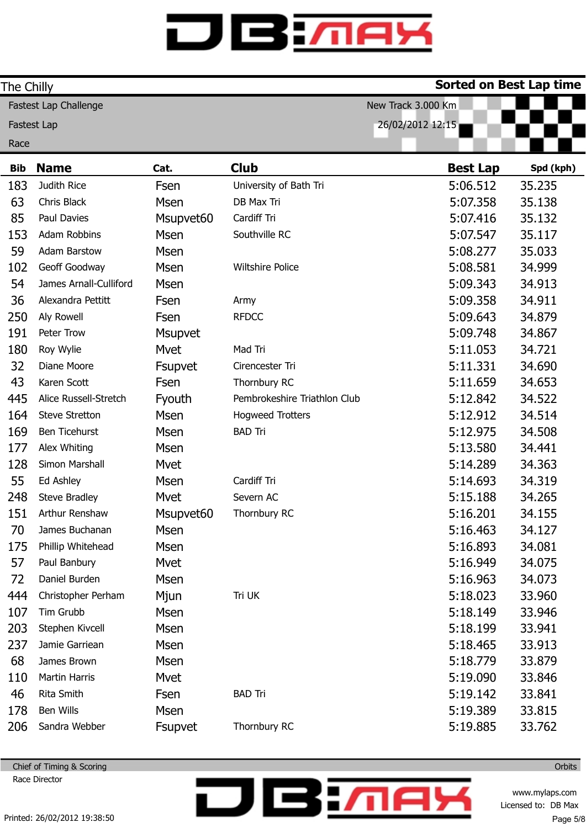| The Chilly |                        |             |                              | Sorted on Best Lap time |           |
|------------|------------------------|-------------|------------------------------|-------------------------|-----------|
|            | Fastest Lap Challenge  |             |                              | New Track 3.000 Km      |           |
|            | <b>Fastest Lap</b>     |             |                              | 26/02/2012 12:15        |           |
| Race       |                        |             |                              |                         |           |
| <b>Bib</b> | <b>Name</b>            | Cat.        | <b>Club</b>                  | <b>Best Lap</b>         | Spd (kph) |
| 183        | Judith Rice            | Fsen        | University of Bath Tri       | 5:06.512                | 35.235    |
| 63         | Chris Black            | Msen        | DB Max Tri                   | 5:07.358                | 35.138    |
| 85         | Paul Davies            | Msupvet60   | Cardiff Tri                  | 5:07.416                | 35.132    |
| 153        | Adam Robbins           | Msen        | Southville RC                | 5:07.547                | 35.117    |
| 59         | <b>Adam Barstow</b>    | Msen        |                              | 5:08.277                | 35.033    |
| 102        | Geoff Goodway          | Msen        | <b>Wiltshire Police</b>      | 5:08.581                | 34.999    |
| 54         | James Arnall-Culliford | Msen        |                              | 5:09.343                | 34.913    |
| 36         | Alexandra Pettitt      | Fsen        | Army                         | 5:09.358                | 34.911    |
| 250        | Aly Rowell             | Fsen        | <b>RFDCC</b>                 | 5:09.643                | 34.879    |
| 191        | Peter Trow             | Msupvet     |                              | 5:09.748                | 34.867    |
| 180        | Roy Wylie              | Mvet        | Mad Tri                      | 5:11.053                | 34.721    |
| 32         | Diane Moore            | Fsupvet     | Cirencester Tri              | 5:11.331                | 34.690    |
| 43         | Karen Scott            | Fsen        | Thornbury RC                 | 5:11.659                | 34.653    |
| 445        | Alice Russell-Stretch  | Fyouth      | Pembrokeshire Triathlon Club | 5:12.842                | 34.522    |
| 164        | Steve Stretton         | Msen        | <b>Hogweed Trotters</b>      | 5:12.912                | 34.514    |
| 169        | <b>Ben Ticehurst</b>   | Msen        | <b>BAD Tri</b>               | 5:12.975                | 34.508    |
| 177        | Alex Whiting           | Msen        |                              | 5:13.580                | 34.441    |
| 128        | Simon Marshall         | Mvet        |                              | 5:14.289                | 34.363    |
| 55         | Ed Ashley              | Msen        | Cardiff Tri                  | 5:14.693                | 34.319    |
| 248        | <b>Steve Bradley</b>   | Mvet        | Severn AC                    | 5:15.188                | 34.265    |
| 151        | Arthur Renshaw         | Msupvet60   | Thornbury RC                 | 5:16.201                | 34.155    |
| 70         | James Buchanan         | Msen        |                              | 5:16.463                | 34.127    |
| 175        | Phillip Whitehead      | <b>Msen</b> |                              | 5:16.893                | 34.081    |
| 57         | Paul Banbury           | Mvet        |                              | 5:16.949                | 34.075    |
| 72         | Daniel Burden          | Msen        |                              | 5:16.963                | 34.073    |
| 444        | Christopher Perham     | Mjun        | Tri UK                       | 5:18.023                | 33.960    |
| 107        | Tim Grubb              | <b>Msen</b> |                              | 5:18.149                | 33.946    |
| 203        | Stephen Kivcell        | Msen        |                              | 5:18.199                | 33.941    |
| 237        | Jamie Garriean         | <b>Msen</b> |                              | 5:18.465                | 33.913    |
| 68         | James Brown            | Msen        |                              | 5:18.779                | 33.879    |
| 110        | Martin Harris          | Mvet        |                              | 5:19.090                | 33.846    |
| 46         | Rita Smith             | Fsen        | <b>BAD Tri</b>               | 5:19.142                | 33.841    |
| 178        | Ben Wills              | <b>Msen</b> |                              | 5:19.389                | 33.815    |
| 206        | Sandra Webber          | Fsupvet     | Thornbury RC                 | 5:19.885                | 33.762    |

**DBM** 

Chief of Timing & Scoring Race Director

> www.mylaps.com Licensed to: DB Max Page 5/8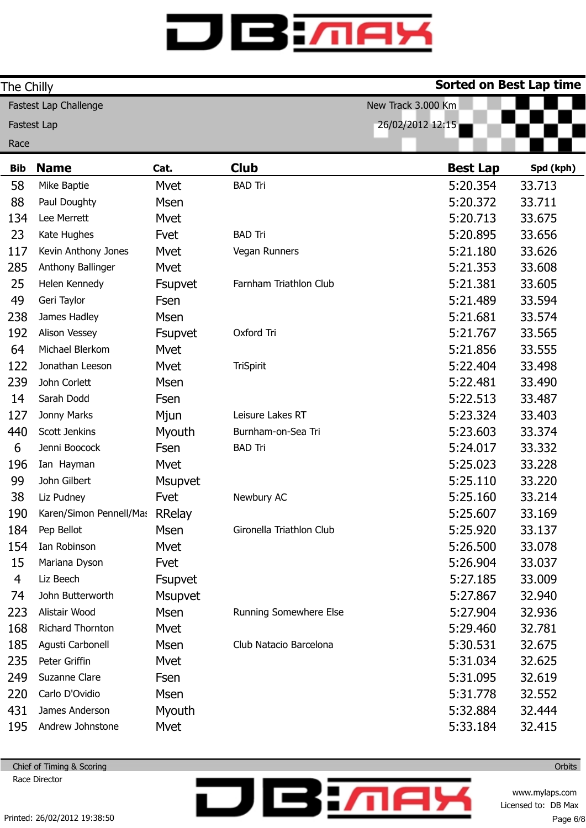| The Chilly     |                                |                |                          | <b>Sorted on Best Lap time</b> |           |
|----------------|--------------------------------|----------------|--------------------------|--------------------------------|-----------|
|                | Fastest Lap Challenge          |                |                          | New Track 3.000 Km             |           |
| Fastest Lap    |                                |                |                          | 26/02/2012 12:15               |           |
| Race           |                                |                |                          |                                |           |
| <b>Bib</b>     | <b>Name</b>                    | Cat.           | <b>Club</b>              | <b>Best Lap</b>                | Spd (kph) |
| 58             | Mike Baptie                    | Mvet           | <b>BAD Tri</b>           | 5:20.354                       | 33.713    |
| 88             | Paul Doughty                   | <b>Msen</b>    |                          | 5:20.372                       | 33.711    |
| 134            | Lee Merrett                    | Mvet           |                          | 5:20.713                       | 33.675    |
| 23             | Kate Hughes                    | Fvet           | <b>BAD Tri</b>           | 5:20.895                       | 33.656    |
| 117            | Kevin Anthony Jones            | Mvet           | Vegan Runners            | 5:21.180                       | 33.626    |
| 285            | Anthony Ballinger              | Mvet           |                          | 5:21.353                       | 33.608    |
| 25             | Helen Kennedy                  | Fsupvet        | Farnham Triathlon Club   | 5:21.381                       | 33.605    |
| 49             | Geri Taylor                    | Fsen           |                          | 5:21.489                       | 33.594    |
| 238            | James Hadley                   | <b>Msen</b>    |                          | 5:21.681                       | 33.574    |
| 192            | Alison Vessey                  | <b>Fsupvet</b> | Oxford Tri               | 5:21.767                       | 33.565    |
| 64             | Michael Blerkom                | Mvet           |                          | 5:21.856                       | 33.555    |
| 122            | Jonathan Leeson                | Mvet           | <b>TriSpirit</b>         | 5:22.404                       | 33.498    |
| 239            | John Corlett                   | <b>Msen</b>    |                          | 5:22.481                       | 33.490    |
| 14             | Sarah Dodd                     | Fsen           |                          | 5:22.513                       | 33.487    |
| 127            | Jonny Marks                    | Mjun           | Leisure Lakes RT         | 5:23.324                       | 33.403    |
| 440            | Scott Jenkins                  | Myouth         | Burnham-on-Sea Tri       | 5:23.603                       | 33.374    |
| 6              | Jenni Boocock                  | Fsen           | <b>BAD Tri</b>           | 5:24.017                       | 33.332    |
| 196            | Ian Hayman                     | Mvet           |                          | 5:25.023                       | 33.228    |
| 99             | John Gilbert                   | <b>Msupvet</b> |                          | 5:25.110                       | 33.220    |
| 38             | Liz Pudney                     | Fvet           | Newbury AC               | 5:25.160                       | 33.214    |
| 190            | Karen/Simon Pennell/Mas RRelay |                |                          | 5:25.607                       | 33.169    |
| 184            | Pep Bellot                     | Msen           | Gironella Triathlon Club | 5:25.920                       | 33.137    |
| 154            | Ian Robinson                   | Mvet           |                          | 5:26.500                       | 33.078    |
| 15             | Mariana Dyson                  | Fvet           |                          | 5:26.904                       | 33.037    |
| $\overline{4}$ | Liz Beech                      | Fsupvet        |                          | 5:27.185                       | 33.009    |
| 74             | John Butterworth               | <b>Msupvet</b> |                          | 5:27.867                       | 32.940    |
| 223            | Alistair Wood                  | <b>Msen</b>    | Running Somewhere Else   | 5:27.904                       | 32.936    |
| 168            | Richard Thornton               | Mvet           |                          | 5:29.460                       | 32.781    |
| 185            | Agusti Carbonell               | <b>Msen</b>    | Club Natacio Barcelona   | 5:30.531                       | 32.675    |
| 235            | Peter Griffin                  | Mvet           |                          | 5:31.034                       | 32.625    |
| 249            | Suzanne Clare                  | Fsen           |                          | 5:31.095                       | 32.619    |
| 220            | Carlo D'Ovidio                 | <b>Msen</b>    |                          | 5:31.778                       | 32.552    |
| 431            | James Anderson                 | Myouth         |                          | 5:32.884                       | 32.444    |
| 195            | Andrew Johnstone               | Mvet           |                          | 5:33.184                       | 32.415    |

**DBM** 

Chief of Timing & Scoring Race Director

> www.mylaps.com Licensed to: DB Max Page 6/8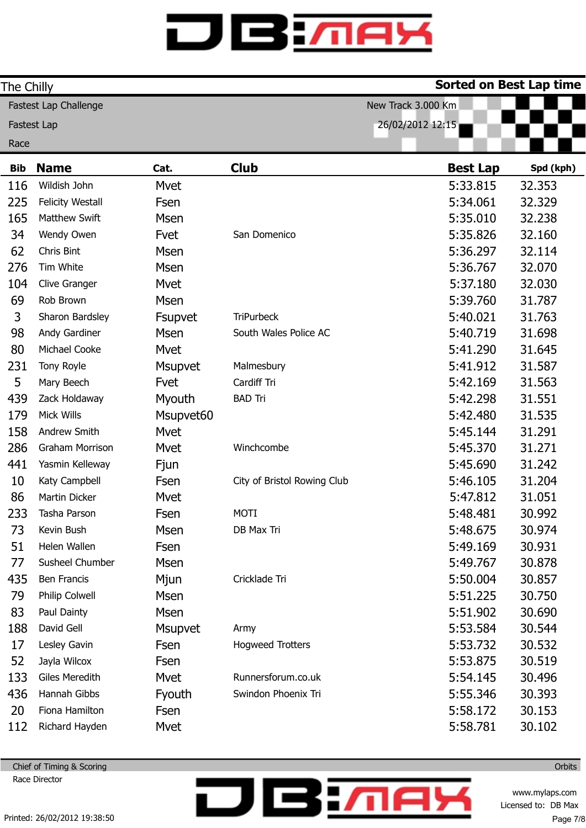| The Chilly |                         |                |                             | <b>Sorted on Best Lap time</b> |           |
|------------|-------------------------|----------------|-----------------------------|--------------------------------|-----------|
|            | Fastest Lap Challenge   |                |                             | New Track 3.000 Km             |           |
|            | <b>Fastest Lap</b>      |                |                             | 26/02/2012 12:15               |           |
| Race       |                         |                |                             |                                |           |
| <b>Bib</b> | <b>Name</b>             | Cat.           | <b>Club</b>                 | <b>Best Lap</b>                | Spd (kph) |
| 116        | Wildish John            | Mvet           |                             | 5:33.815                       | 32.353    |
| 225        | <b>Felicity Westall</b> | Fsen           |                             | 5:34.061                       | 32.329    |
| 165        | Matthew Swift           | <b>Msen</b>    |                             | 5:35.010                       | 32.238    |
| 34         | Wendy Owen              | Fvet           | San Domenico                | 5:35.826                       | 32.160    |
| 62         | Chris Bint              | <b>Msen</b>    |                             | 5:36.297                       | 32.114    |
| 276        | Tim White               | <b>Msen</b>    |                             | 5:36.767                       | 32.070    |
| 104        | Clive Granger           | Mvet           |                             | 5:37.180                       | 32.030    |
| 69         | Rob Brown               | <b>Msen</b>    |                             | 5:39.760                       | 31.787    |
| 3          | Sharon Bardsley         | Fsupvet        | <b>TriPurbeck</b>           | 5:40.021                       | 31.763    |
| 98         | Andy Gardiner           | <b>Msen</b>    | South Wales Police AC       | 5:40.719                       | 31.698    |
| 80         | Michael Cooke           | Mvet           |                             | 5:41.290                       | 31.645    |
| 231        | Tony Royle              | Msupvet        | Malmesbury                  | 5:41.912                       | 31.587    |
| 5          | Mary Beech              | Fvet           | Cardiff Tri                 | 5:42.169                       | 31.563    |
| 439        | Zack Holdaway           | Myouth         | <b>BAD Tri</b>              | 5:42.298                       | 31.551    |
| 179        | Mick Wills              | Msupvet60      |                             | 5:42.480                       | 31.535    |
| 158        | Andrew Smith            | Mvet           |                             | 5:45.144                       | 31.291    |
| 286        | <b>Graham Morrison</b>  | Mvet           | Winchcombe                  | 5:45.370                       | 31.271    |
| 441        | Yasmin Kelleway         | Fjun           |                             | 5:45.690                       | 31.242    |
| 10         | Katy Campbell           | Fsen           | City of Bristol Rowing Club | 5:46.105                       | 31.204    |
| 86         | Martin Dicker           | Mvet           |                             | 5:47.812                       | 31.051    |
| 233        | Tasha Parson            | Fsen           | <b>MOTI</b>                 | 5:48.481                       | 30.992    |
| 73         | Kevin Bush              | Msen           | DB Max Tri                  | 5:48.675                       | 30.974    |
| 51         | Helen Wallen            | Fsen           |                             | 5:49.169                       | 30.931    |
| 77         | Susheel Chumber         | <b>Msen</b>    |                             | 5:49.767                       | 30.878    |
| 435        | Ben Francis             | Mjun           | Cricklade Tri               | 5:50.004                       | 30.857    |
| 79         | Philip Colwell          | Msen           |                             | 5:51.225                       | 30.750    |
| 83         | Paul Dainty             | <b>Msen</b>    |                             | 5:51.902                       | 30.690    |
| 188        | David Gell              | <b>Msupvet</b> | Army                        | 5:53.584                       | 30.544    |
| 17         | Lesley Gavin            | Fsen           | <b>Hogweed Trotters</b>     | 5:53.732                       | 30.532    |
| 52         | Jayla Wilcox            | Fsen           |                             | 5:53.875                       | 30.519    |
| 133        | Giles Meredith          | Mvet           | Runnersforum.co.uk          | 5:54.145                       | 30.496    |
| 436        | Hannah Gibbs            | Fyouth         | Swindon Phoenix Tri         | 5:55.346                       | 30.393    |
| 20         | Fiona Hamilton          | Fsen           |                             | 5:58.172                       | 30.153    |
| 112        | Richard Hayden          | Mvet           |                             | 5:58.781                       | 30.102    |

**DBM** 

Chief of Timing & Scoring Race Director

> www.mylaps.com Licensed to: DB Max Page 7/8